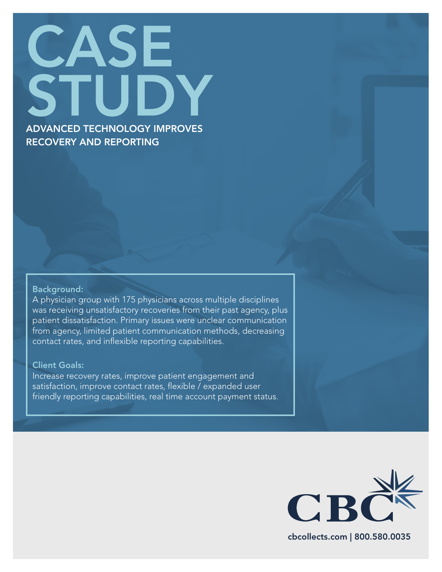# CASE. STUDY ADVANCED TECHNOLOGY IMPROVES RECOVERY AND REPORTING

#### Background:

A physician group with 175 physicians across multiple disciplines was receiving unsatisfactory recoveries from their past agency, plus patient dissatisfaction. Primary issues were unclear communication from agency, limited patient communication methods, decreasing contact rates, and inflexible reporting capabilities.

### Client Goals:

Increase recovery rates, improve patient engagement and satisfaction, improve contact rates, flexible / expanded user friendly reporting capabilities, real time account payment status.



cbcollects.com | 800.580.0035